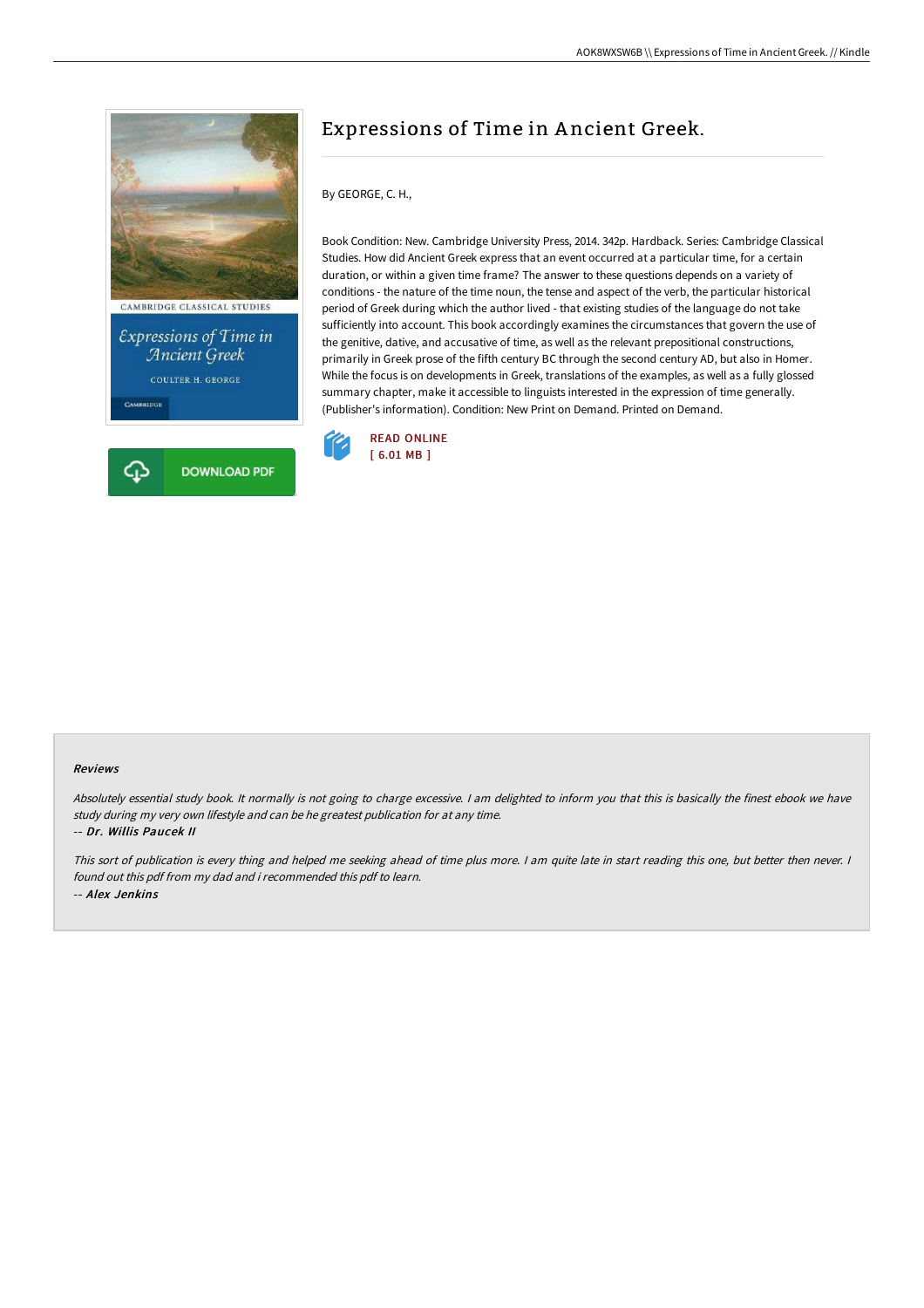



# Expressions of Time in A ncient Greek.

By GEORGE, C. H.,

Book Condition: New. Cambridge University Press, 2014. 342p. Hardback. Series: Cambridge Classical Studies. How did Ancient Greek express that an event occurred at a particular time, for a certain duration, or within a given time frame? The answer to these questions depends on a variety of conditions - the nature of the time noun, the tense and aspect of the verb, the particular historical period of Greek during which the author lived - that existing studies of the language do not take sufficiently into account. This book accordingly examines the circumstances that govern the use of the genitive, dative, and accusative of time, as well as the relevant prepositional constructions, primarily in Greek prose of the fifth century BC through the second century AD, but also in Homer. While the focus is on developments in Greek, translations of the examples, as well as a fully glossed summary chapter, make it accessible to linguists interested in the expression of time generally. (Publisher's information). Condition: New Print on Demand. Printed on Demand.



#### Reviews

Absolutely essential study book. It normally is not going to charge excessive. <sup>I</sup> am delighted to inform you that this is basically the finest ebook we have study during my very own lifestyle and can be he greatest publication for at any time. -- Dr. Willis Paucek II

This sort of publication is every thing and helped me seeking ahead of time plus more. <sup>I</sup> am quite late in start reading this one, but better then never. <sup>I</sup> found out this pdf from my dad and i recommended this pdf to learn. -- Alex Jenkins